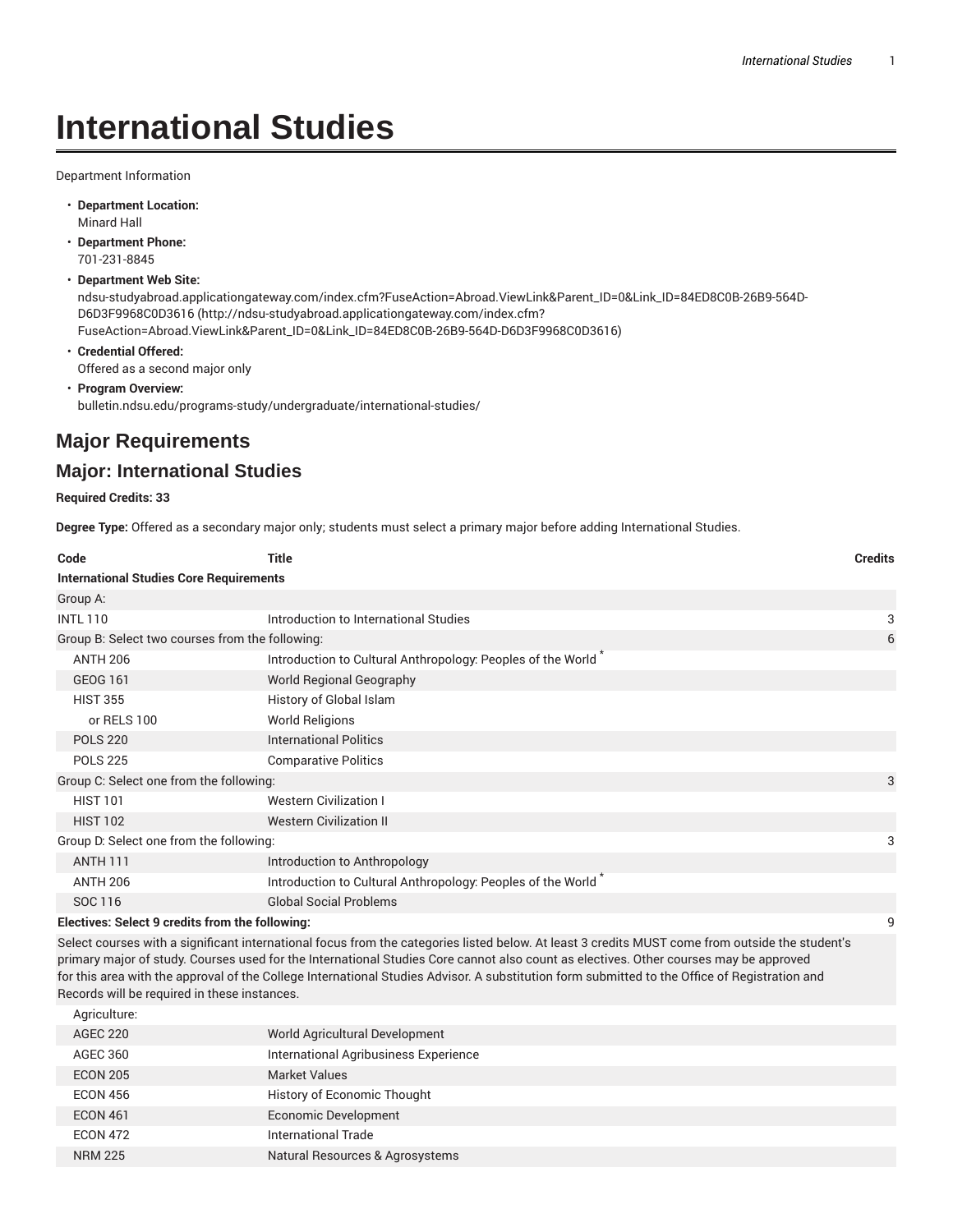# **International Studies**

Department Information

- **Department Location:** Minard Hall
- **Department Phone:** 701-231-8845
- **Department Web Site:**

ndsu-studyabroad.applicationgateway.com/index.cfm?FuseAction=Abroad.ViewLink&Parent\_ID=0&Link\_ID=84ED8C0B-26B9-564D-D6D3F9968C0D3616 (http://ndsu-studyabroad.applicationgateway.com/index.cfm? FuseAction=Abroad.ViewLink&Parent\_ID=0&Link\_ID=84ED8C0B-26B9-564D-D6D3F9968C0D3616)

- **Credential Offered:** Offered as a second major only
- **Program Overview:** bulletin.ndsu.edu/programs-study/undergraduate/international-studies/

## **Major Requirements**

### **Major: International Studies**

#### **Required Credits: 33**

**Degree Type:** Offered as a secondary major only; students must select a primary major before adding International Studies.

| Code                                            | <b>Title</b>                                                                                                   | <b>Credits</b> |  |  |  |  |
|-------------------------------------------------|----------------------------------------------------------------------------------------------------------------|----------------|--|--|--|--|
|                                                 | <b>International Studies Core Requirements</b>                                                                 |                |  |  |  |  |
| Group A:                                        |                                                                                                                |                |  |  |  |  |
| <b>INTL 110</b>                                 | Introduction to International Studies                                                                          | 3              |  |  |  |  |
| Group B: Select two courses from the following: |                                                                                                                | 6              |  |  |  |  |
| <b>ANTH 206</b>                                 | Introduction to Cultural Anthropology: Peoples of the World *                                                  |                |  |  |  |  |
| GEOG 161                                        | World Regional Geography                                                                                       |                |  |  |  |  |
| <b>HIST 355</b>                                 | History of Global Islam                                                                                        |                |  |  |  |  |
| or RELS 100                                     | <b>World Religions</b>                                                                                         |                |  |  |  |  |
| <b>POLS 220</b>                                 | <b>International Politics</b>                                                                                  |                |  |  |  |  |
| <b>POLS 225</b>                                 | <b>Comparative Politics</b>                                                                                    |                |  |  |  |  |
| Group C: Select one from the following:         |                                                                                                                | 3              |  |  |  |  |
| <b>HIST 101</b>                                 | <b>Western Civilization I</b>                                                                                  |                |  |  |  |  |
| <b>HIST 102</b>                                 | <b>Western Civilization II</b>                                                                                 |                |  |  |  |  |
| Group D: Select one from the following:         |                                                                                                                | 3              |  |  |  |  |
| <b>ANTH 111</b>                                 | Introduction to Anthropology                                                                                   |                |  |  |  |  |
| <b>ANTH 206</b>                                 | Introduction to Cultural Anthropology: Peoples of the World                                                    |                |  |  |  |  |
| SOC 116                                         | <b>Global Social Problems</b>                                                                                  |                |  |  |  |  |
| Electives: Select 9 credits from the following: |                                                                                                                |                |  |  |  |  |
|                                                 | of a construction of the construction of the construction of the construction of the construction of the const |                |  |  |  |  |

Select courses with a significant international focus from the categories listed below. At least 3 credits MUST come from outside the student's primary major of study. Courses used for the International Studies Core cannot also count as electives. Other courses may be approved for this area with the approval of the College International Studies Advisor. A substitution form submitted to the Office of Registration and Records will be required in these instances.

| Agriculture:    |                                       |
|-----------------|---------------------------------------|
| <b>AGEC 220</b> | World Agricultural Development        |
| AGEC 360        | International Agribusiness Experience |
| <b>ECON 205</b> | <b>Market Values</b>                  |
| <b>ECON 456</b> | History of Economic Thought           |
| <b>ECON 461</b> | <b>Economic Development</b>           |
| <b>ECON 472</b> | International Trade                   |
| <b>NRM 225</b>  | Natural Resources & Agrosystems       |
|                 |                                       |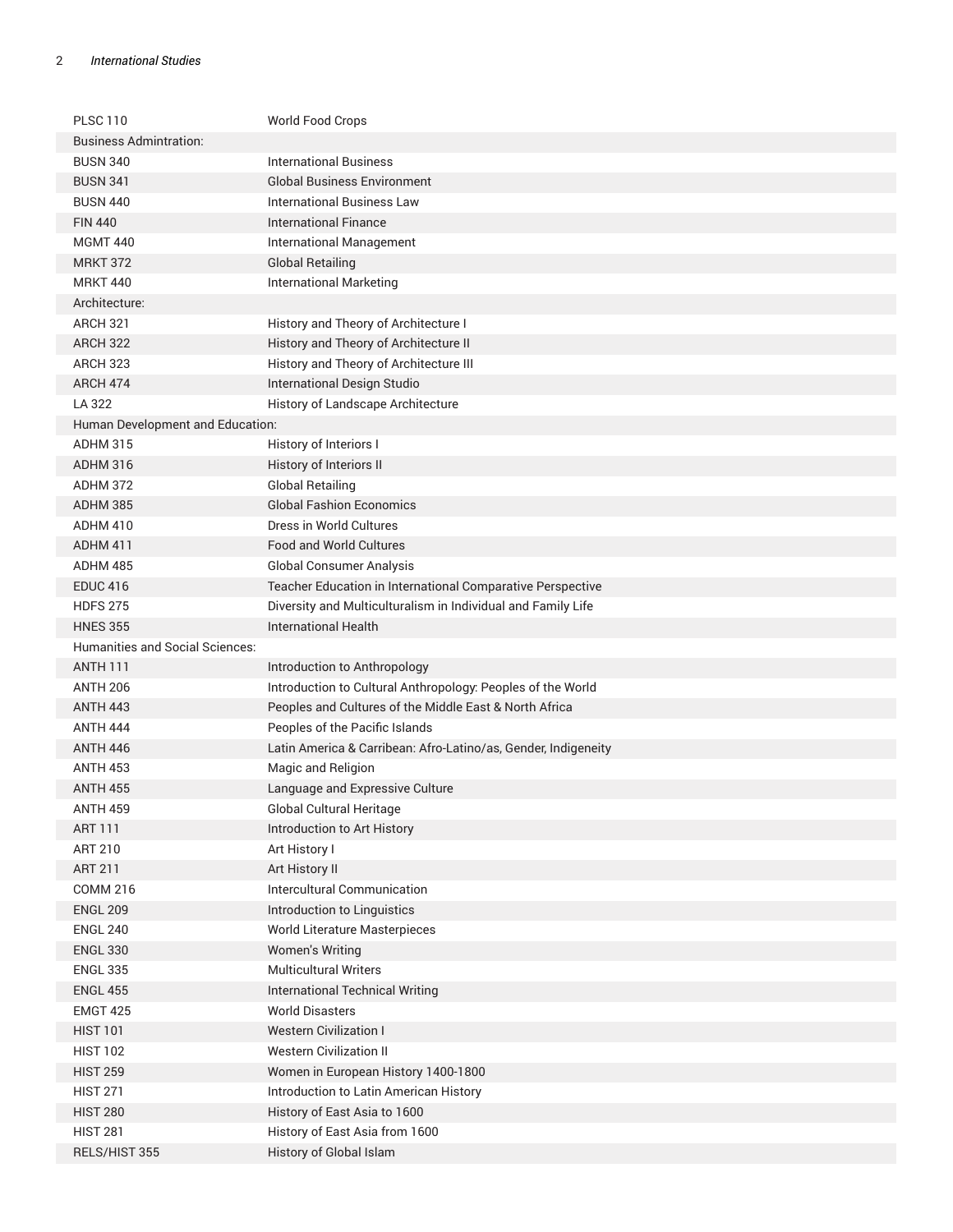#### 2 *International Studies*

| <b>PLSC 110</b>                        | World Food Crops                                               |
|----------------------------------------|----------------------------------------------------------------|
| <b>Business Admintration:</b>          |                                                                |
| <b>BUSN 340</b>                        | <b>International Business</b>                                  |
| <b>BUSN 341</b>                        | <b>Global Business Environment</b>                             |
| <b>BUSN 440</b>                        | <b>International Business Law</b>                              |
| <b>FIN 440</b>                         | <b>International Finance</b>                                   |
| <b>MGMT 440</b>                        | International Management                                       |
| <b>MRKT 372</b>                        | <b>Global Retailing</b>                                        |
| <b>MRKT 440</b>                        | <b>International Marketing</b>                                 |
| Architecture:                          |                                                                |
| <b>ARCH 321</b>                        | History and Theory of Architecture I                           |
| <b>ARCH 322</b>                        | History and Theory of Architecture II                          |
| <b>ARCH 323</b>                        | History and Theory of Architecture III                         |
| ARCH 474                               | International Design Studio                                    |
| LA 322                                 | History of Landscape Architecture                              |
| Human Development and Education:       |                                                                |
| <b>ADHM 315</b>                        | History of Interiors I                                         |
| ADHM 316                               | History of Interiors II                                        |
| ADHM 372                               | <b>Global Retailing</b>                                        |
| ADHM 385                               | <b>Global Fashion Economics</b>                                |
| ADHM 410                               | Dress in World Cultures                                        |
| ADHM 411                               | Food and World Cultures                                        |
| ADHM 485                               | <b>Global Consumer Analysis</b>                                |
| <b>EDUC 416</b>                        | Teacher Education in International Comparative Perspective     |
| <b>HDFS 275</b>                        | Diversity and Multiculturalism in Individual and Family Life   |
| <b>HNES 355</b>                        | <b>International Health</b>                                    |
| <b>Humanities and Social Sciences:</b> |                                                                |
| <b>ANTH 111</b>                        | Introduction to Anthropology                                   |
| <b>ANTH 206</b>                        | Introduction to Cultural Anthropology: Peoples of the World    |
| <b>ANTH 443</b>                        | Peoples and Cultures of the Middle East & North Africa         |
| <b>ANTH 444</b>                        | Peoples of the Pacific Islands                                 |
| <b>ANTH 446</b>                        | Latin America & Carribean: Afro-Latino/as, Gender, Indigeneity |
| <b>ANTH 453</b>                        | Magic and Religion                                             |
| <b>ANTH 455</b>                        | Language and Expressive Culture                                |
| <b>ANTH 459</b>                        | Global Cultural Heritage                                       |
| ART 111                                | Introduction to Art History                                    |
| <b>ART 210</b>                         | Art History I                                                  |
| <b>ART 211</b>                         | Art History II                                                 |
| <b>COMM 216</b>                        | Intercultural Communication                                    |
| <b>ENGL 209</b>                        | Introduction to Linguistics                                    |
| <b>ENGL 240</b>                        | World Literature Masterpieces                                  |
| <b>ENGL 330</b>                        | Women's Writing                                                |
| <b>ENGL 335</b>                        | <b>Multicultural Writers</b>                                   |
| <b>ENGL 455</b>                        | <b>International Technical Writing</b>                         |
| <b>EMGT 425</b>                        | <b>World Disasters</b>                                         |
| <b>HIST 101</b>                        | <b>Western Civilization I</b>                                  |
| <b>HIST 102</b>                        | <b>Western Civilization II</b>                                 |
| <b>HIST 259</b>                        | Women in European History 1400-1800                            |
| <b>HIST 271</b>                        | Introduction to Latin American History                         |
| <b>HIST 280</b>                        | History of East Asia to 1600                                   |
| <b>HIST 281</b>                        | History of East Asia from 1600                                 |
| RELS/HIST 355                          | History of Global Islam                                        |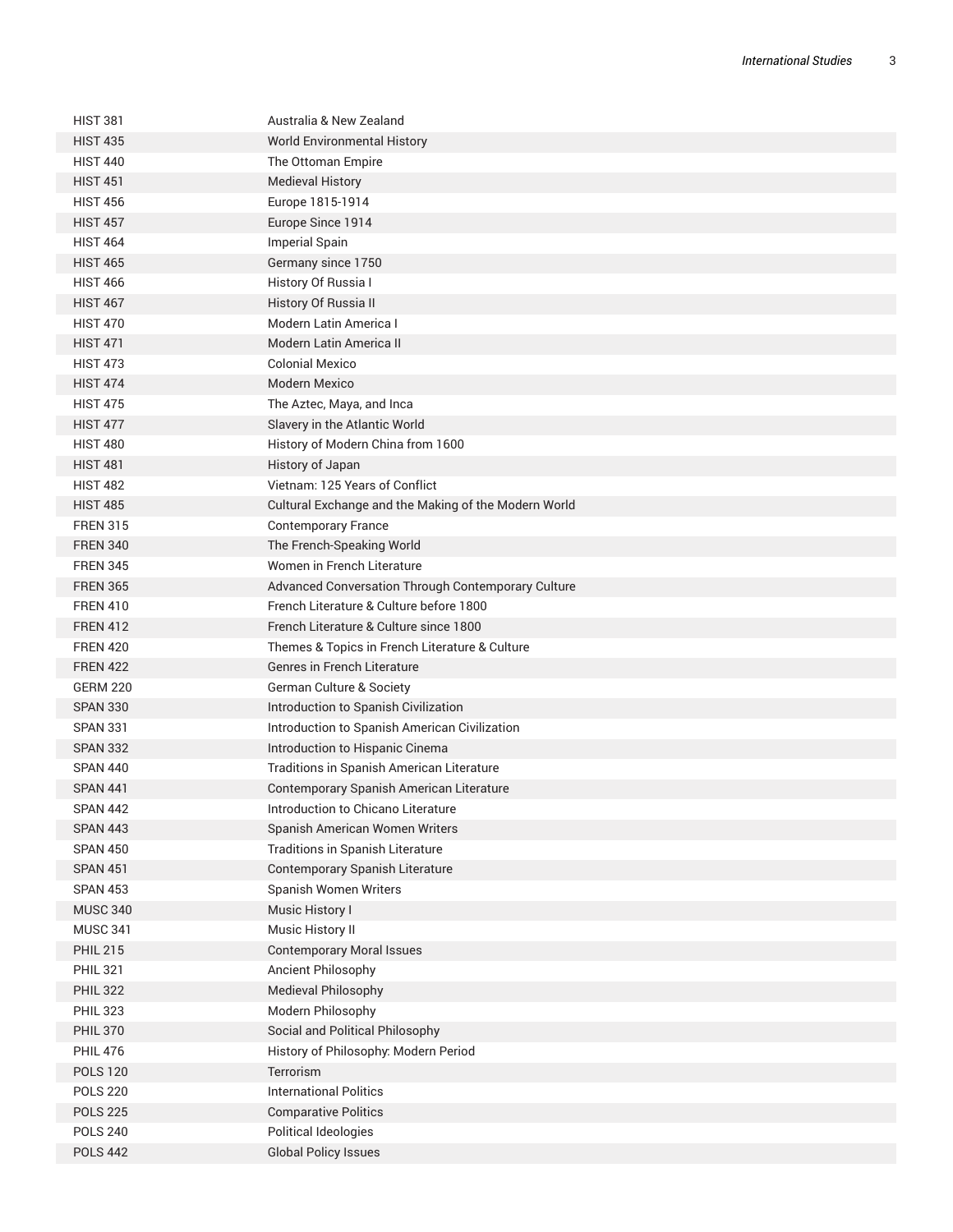| <b>HIST 381</b> | Australia & New Zealand                              |
|-----------------|------------------------------------------------------|
| <b>HIST 435</b> | <b>World Environmental History</b>                   |
| <b>HIST 440</b> | The Ottoman Empire                                   |
| <b>HIST 451</b> | <b>Medieval History</b>                              |
| <b>HIST 456</b> | Europe 1815-1914                                     |
| <b>HIST 457</b> | Europe Since 1914                                    |
| <b>HIST 464</b> | <b>Imperial Spain</b>                                |
| <b>HIST 465</b> | Germany since 1750                                   |
| <b>HIST 466</b> | History Of Russia I                                  |
| <b>HIST 467</b> | History Of Russia II                                 |
| <b>HIST 470</b> | Modern Latin America I                               |
| <b>HIST 471</b> | Modern Latin America II                              |
| <b>HIST 473</b> | <b>Colonial Mexico</b>                               |
| <b>HIST 474</b> | <b>Modern Mexico</b>                                 |
| <b>HIST 475</b> | The Aztec, Maya, and Inca                            |
| <b>HIST 477</b> | Slavery in the Atlantic World                        |
| <b>HIST 480</b> | History of Modern China from 1600                    |
| <b>HIST 481</b> | History of Japan                                     |
| <b>HIST 482</b> | Vietnam: 125 Years of Conflict                       |
| <b>HIST 485</b> | Cultural Exchange and the Making of the Modern World |
| <b>FREN 315</b> | <b>Contemporary France</b>                           |
| <b>FREN 340</b> | The French-Speaking World                            |
| <b>FREN 345</b> | Women in French Literature                           |
| <b>FREN 365</b> | Advanced Conversation Through Contemporary Culture   |
| <b>FREN 410</b> | French Literature & Culture before 1800              |
| <b>FREN 412</b> | French Literature & Culture since 1800               |
| <b>FREN 420</b> | Themes & Topics in French Literature & Culture       |
| <b>FREN 422</b> | Genres in French Literature                          |
| <b>GERM 220</b> | German Culture & Society                             |
| <b>SPAN 330</b> | Introduction to Spanish Civilization                 |
| <b>SPAN 331</b> | Introduction to Spanish American Civilization        |
| <b>SPAN 332</b> | Introduction to Hispanic Cinema                      |
| <b>SPAN 440</b> | Traditions in Spanish American Literature            |
| <b>SPAN 441</b> | Contemporary Spanish American Literature             |
| <b>SPAN 442</b> | Introduction to Chicano Literature                   |
| <b>SPAN 443</b> | Spanish American Women Writers                       |
| <b>SPAN 450</b> | Traditions in Spanish Literature                     |
| <b>SPAN 451</b> | Contemporary Spanish Literature                      |
| <b>SPAN 453</b> | Spanish Women Writers                                |
| <b>MUSC 340</b> | Music History I                                      |
| <b>MUSC 341</b> | Music History II                                     |
| <b>PHIL 215</b> | <b>Contemporary Moral Issues</b>                     |
| <b>PHIL 321</b> | Ancient Philosophy                                   |
| <b>PHIL 322</b> | Medieval Philosophy                                  |
| <b>PHIL 323</b> | Modern Philosophy                                    |
| <b>PHIL 370</b> | Social and Political Philosophy                      |
| <b>PHIL 476</b> | History of Philosophy: Modern Period                 |
| <b>POLS 120</b> | Terrorism                                            |
| <b>POLS 220</b> | <b>International Politics</b>                        |
| <b>POLS 225</b> | <b>Comparative Politics</b>                          |
| <b>POLS 240</b> | Political Ideologies                                 |
| <b>POLS 442</b> | <b>Global Policy Issues</b>                          |
|                 |                                                      |